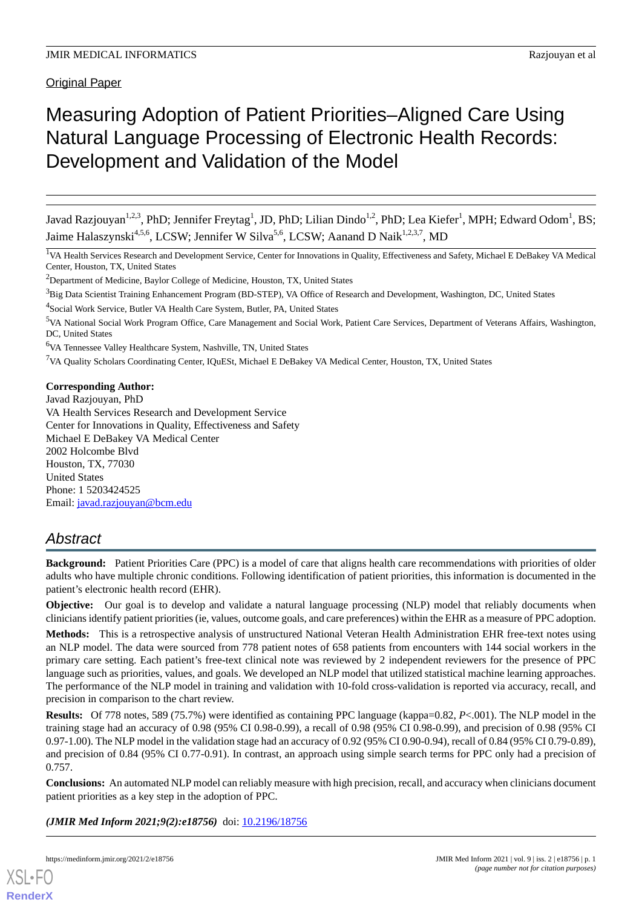Original Paper

# Measuring Adoption of Patient Priorities–Aligned Care Using Natural Language Processing of Electronic Health Records: Development and Validation of the Model

Javad Razjouyan $^{1,2,3}$ , PhD; Jennifer Freytag $^1$ , JD, PhD; Lilian Dindo $^{1,2}$ , PhD; Lea Kiefer $^1$ , MPH; Edward Odom $^1$ , BS; Jaime Halaszynski<sup>4,5,6</sup>, LCSW; Jennifer W Silva<sup>5,6</sup>, LCSW; Aanand D Naik<sup>1,2,3,7</sup>, MD

<sup>1</sup>VA Health Services Research and Development Service, Center for Innovations in Quality, Effectiveness and Safety, Michael E DeBakey VA Medical Center, Houston, TX, United States

<sup>2</sup>Department of Medicine, Baylor College of Medicine, Houston, TX, United States

<sup>3</sup>Big Data Scientist Training Enhancement Program (BD-STEP), VA Office of Research and Development, Washington, DC, United States

<sup>6</sup>VA Tennessee Valley Healthcare System, Nashville, TN, United States

<sup>7</sup>VA Quality Scholars Coordinating Center, IQuESt, Michael E DeBakey VA Medical Center, Houston, TX, United States

# **Corresponding Author:**

Javad Razjouyan, PhD VA Health Services Research and Development Service Center for Innovations in Quality, Effectiveness and Safety Michael E DeBakey VA Medical Center 2002 Holcombe Blvd Houston, TX, 77030 United States Phone: 1 5203424525 Email: [javad.razjouyan@bcm.edu](mailto:javad.razjouyan@bcm.edu)

# *Abstract*

**Background:** Patient Priorities Care (PPC) is a model of care that aligns health care recommendations with priorities of older adults who have multiple chronic conditions. Following identification of patient priorities, this information is documented in the patient's electronic health record (EHR).

**Objective:** Our goal is to develop and validate a natural language processing (NLP) model that reliably documents when clinicians identify patient priorities (ie, values, outcome goals, and care preferences) within the EHR as a measure of PPC adoption.

**Methods:** This is a retrospective analysis of unstructured National Veteran Health Administration EHR free-text notes using an NLP model. The data were sourced from 778 patient notes of 658 patients from encounters with 144 social workers in the primary care setting. Each patient's free-text clinical note was reviewed by 2 independent reviewers for the presence of PPC language such as priorities, values, and goals. We developed an NLP model that utilized statistical machine learning approaches. The performance of the NLP model in training and validation with 10-fold cross-validation is reported via accuracy, recall, and precision in comparison to the chart review.

**Results:** Of 778 notes, 589 (75.7%) were identified as containing PPC language (kappa=0.82, *P*<.001). The NLP model in the training stage had an accuracy of 0.98 (95% CI 0.98-0.99), a recall of 0.98 (95% CI 0.98-0.99), and precision of 0.98 (95% CI 0.97-1.00). The NLP model in the validation stage had an accuracy of 0.92 (95% CI 0.90-0.94), recall of 0.84 (95% CI 0.79-0.89), and precision of 0.84 (95% CI 0.77-0.91). In contrast, an approach using simple search terms for PPC only had a precision of 0.757.

**Conclusions:** An automated NLP model can reliably measure with high precision, recall, and accuracy when clinicians document patient priorities as a key step in the adoption of PPC.

*(JMIR Med Inform 2021;9(2):e18756)* doi: [10.2196/18756](http://dx.doi.org/10.2196/18756)



**[RenderX](http://www.renderx.com/)**

<sup>&</sup>lt;sup>4</sup>Social Work Service, Butler VA Health Care System, Butler, PA, United States

<sup>5</sup>VA National Social Work Program Office, Care Management and Social Work, Patient Care Services, Department of Veterans Affairs, Washington, DC, United States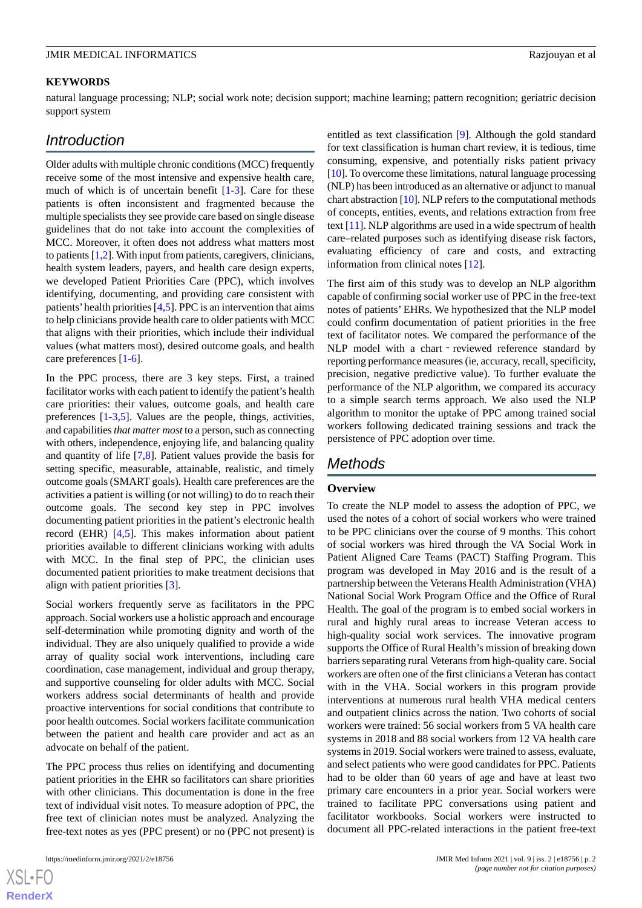### **KEYWORDS**

natural language processing; NLP; social work note; decision support; machine learning; pattern recognition; geriatric decision support system

# *Introduction*

Older adults with multiple chronic conditions (MCC) frequently receive some of the most intensive and expensive health care, much of which is of uncertain benefit [\[1](#page-6-0)-[3](#page-6-1)]. Care for these patients is often inconsistent and fragmented because the multiple specialists they see provide care based on single disease guidelines that do not take into account the complexities of MCC. Moreover, it often does not address what matters most to patients [[1](#page-6-0)[,2](#page-6-2)]. With input from patients, caregivers, clinicians, health system leaders, payers, and health care design experts, we developed Patient Priorities Care (PPC), which involves identifying, documenting, and providing care consistent with patients' health priorities  $[4,5]$  $[4,5]$  $[4,5]$  $[4,5]$ . PPC is an intervention that aims to help clinicians provide health care to older patients with MCC that aligns with their priorities, which include their individual values (what matters most), desired outcome goals, and health care preferences [[1-](#page-6-0)[6\]](#page-6-5).

In the PPC process, there are 3 key steps. First, a trained facilitator works with each patient to identify the patient's health care priorities: their values, outcome goals, and health care preferences [[1](#page-6-0)[-3](#page-6-1),[5\]](#page-6-4). Values are the people, things, activities, and capabilities *that matter most*to a person, such as connecting with others, independence, enjoying life, and balancing quality and quantity of life [\[7](#page-6-6),[8\]](#page-6-7). Patient values provide the basis for setting specific, measurable, attainable, realistic, and timely outcome goals (SMART goals). Health care preferences are the activities a patient is willing (or not willing) to do to reach their outcome goals. The second key step in PPC involves documenting patient priorities in the patient's electronic health record (EHR) [\[4](#page-6-3),[5\]](#page-6-4). This makes information about patient priorities available to different clinicians working with adults with MCC. In the final step of PPC, the clinician uses documented patient priorities to make treatment decisions that align with patient priorities [[3\]](#page-6-1).

Social workers frequently serve as facilitators in the PPC approach. Social workers use a holistic approach and encourage self-determination while promoting dignity and worth of the individual. They are also uniquely qualified to provide a wide array of quality social work interventions, including care coordination, case management, individual and group therapy, and supportive counseling for older adults with MCC. Social workers address social determinants of health and provide proactive interventions for social conditions that contribute to poor health outcomes. Social workers facilitate communication between the patient and health care provider and act as an advocate on behalf of the patient.

The PPC process thus relies on identifying and documenting patient priorities in the EHR so facilitators can share priorities with other clinicians. This documentation is done in the free text of individual visit notes. To measure adoption of PPC, the free text of clinician notes must be analyzed. Analyzing the free-text notes as yes (PPC present) or no (PPC not present) is

entitled as text classification [\[9\]](#page-6-8). Although the gold standard for text classification is human chart review, it is tedious, time consuming, expensive, and potentially risks patient privacy [[10\]](#page-6-9). To overcome these limitations, natural language processing (NLP) has been introduced as an alternative or adjunct to manual chart abstraction [\[10\]](#page-6-9). NLP refers to the computational methods of concepts, entities, events, and relations extraction from free text [[11\]](#page-6-10). NLP algorithms are used in a wide spectrum of health care–related purposes such as identifying disease risk factors, evaluating efficiency of care and costs, and extracting information from clinical notes [\[12](#page-6-11)].

The first aim of this study was to develop an NLP algorithm capable of confirming social worker use of PPC in the free-text notes of patients' EHRs. We hypothesized that the NLP model could confirm documentation of patient priorities in the free text of facilitator notes. We compared the performance of the NLP model with a chart - reviewed reference standard by reporting performance measures (ie, accuracy, recall, specificity, precision, negative predictive value). To further evaluate the performance of the NLP algorithm, we compared its accuracy to a simple search terms approach. We also used the NLP algorithm to monitor the uptake of PPC among trained social workers following dedicated training sessions and track the persistence of PPC adoption over time.

# *Methods*

### **Overview**

To create the NLP model to assess the adoption of PPC, we used the notes of a cohort of social workers who were trained to be PPC clinicians over the course of 9 months. This cohort of social workers was hired through the VA Social Work in Patient Aligned Care Teams (PACT) Staffing Program. This program was developed in May 2016 and is the result of a partnership between the Veterans Health Administration (VHA) National Social Work Program Office and the Office of Rural Health. The goal of the program is to embed social workers in rural and highly rural areas to increase Veteran access to high-quality social work services. The innovative program supports the Office of Rural Health's mission of breaking down barriers separating rural Veterans from high-quality care. Social workers are often one of the first clinicians a Veteran has contact with in the VHA. Social workers in this program provide interventions at numerous rural health VHA medical centers and outpatient clinics across the nation. Two cohorts of social workers were trained: 56 social workers from 5 VA health care systems in 2018 and 88 social workers from 12 VA health care systems in 2019. Social workers were trained to assess, evaluate, and select patients who were good candidates for PPC. Patients had to be older than 60 years of age and have at least two primary care encounters in a prior year. Social workers were trained to facilitate PPC conversations using patient and facilitator workbooks. Social workers were instructed to document all PPC-related interactions in the patient free-text

 $XSI - F($ **[RenderX](http://www.renderx.com/)**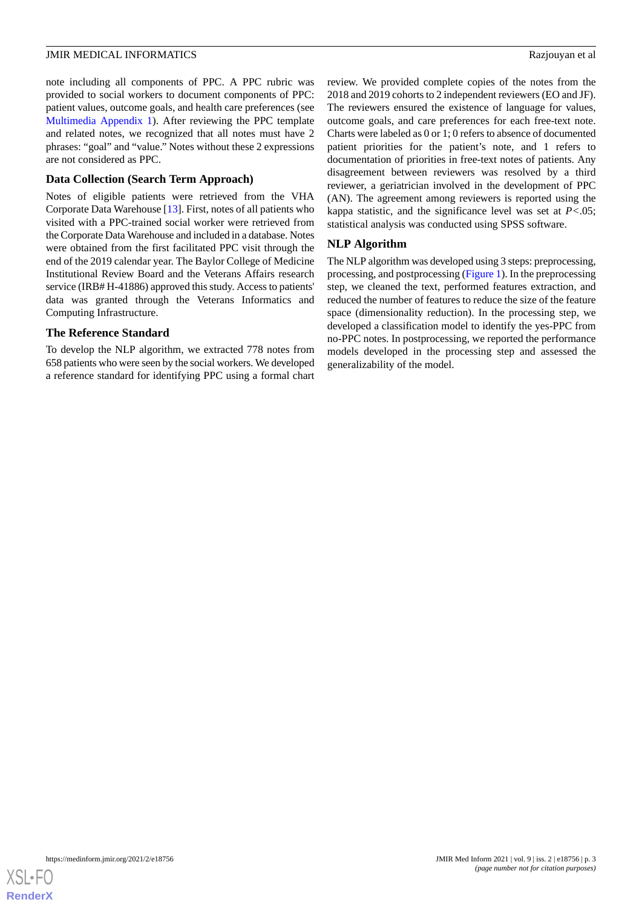note including all components of PPC. A PPC rubric was provided to social workers to document components of PPC: patient values, outcome goals, and health care preferences (see [Multimedia Appendix 1](#page-6-12)). After reviewing the PPC template and related notes, we recognized that all notes must have 2 phrases: "goal" and "value." Notes without these 2 expressions are not considered as PPC.

### **Data Collection (Search Term Approach)**

Notes of eligible patients were retrieved from the VHA Corporate Data Warehouse [\[13](#page-6-13)]. First, notes of all patients who visited with a PPC-trained social worker were retrieved from the Corporate Data Warehouse and included in a database. Notes were obtained from the first facilitated PPC visit through the end of the 2019 calendar year. The Baylor College of Medicine Institutional Review Board and the Veterans Affairs research service (IRB# H-41886) approved this study. Access to patients' data was granted through the Veterans Informatics and Computing Infrastructure.

# **The Reference Standard**

To develop the NLP algorithm, we extracted 778 notes from 658 patients who were seen by the social workers. We developed a reference standard for identifying PPC using a formal chart

review. We provided complete copies of the notes from the 2018 and 2019 cohorts to 2 independent reviewers (EO and JF). The reviewers ensured the existence of language for values, outcome goals, and care preferences for each free-text note. Charts were labeled as 0 or 1; 0 refers to absence of documented patient priorities for the patient's note, and 1 refers to documentation of priorities in free-text notes of patients. Any disagreement between reviewers was resolved by a third reviewer, a geriatrician involved in the development of PPC (AN). The agreement among reviewers is reported using the kappa statistic, and the significance level was set at *P<*.05; statistical analysis was conducted using SPSS software.

# **NLP Algorithm**

The NLP algorithm was developed using 3 steps: preprocessing, processing, and postprocessing ([Figure 1](#page-3-0)). In the preprocessing step, we cleaned the text, performed features extraction, and reduced the number of features to reduce the size of the feature space (dimensionality reduction). In the processing step, we developed a classification model to identify the yes-PPC from no-PPC notes. In postprocessing, we reported the performance models developed in the processing step and assessed the generalizability of the model.

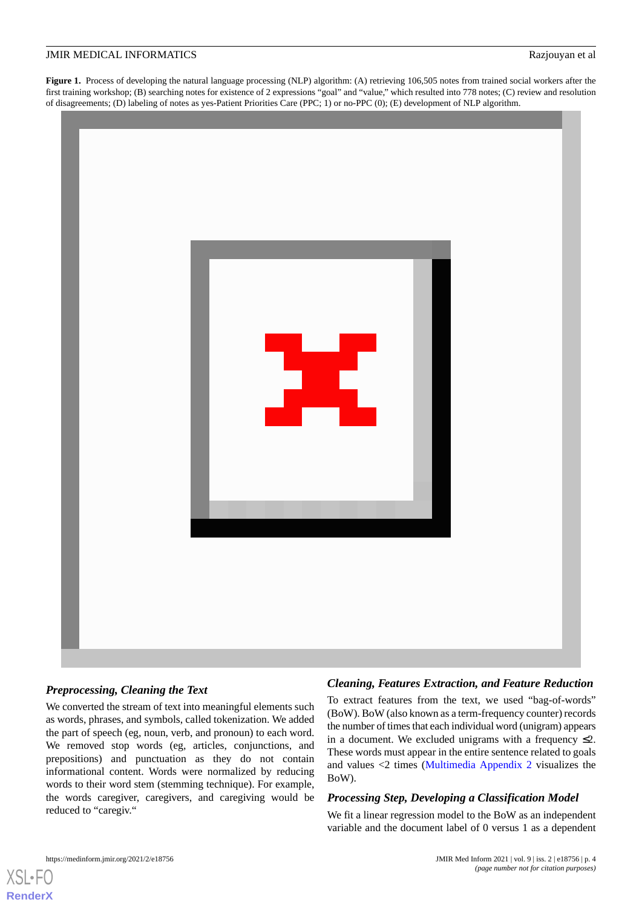<span id="page-3-0"></span>Figure 1. Process of developing the natural language processing (NLP) algorithm: (A) retrieving 106,505 notes from trained social workers after the first training workshop; (B) searching notes for existence of 2 expressions "goal" and "value," which resulted into 778 notes; (C) review and resolution of disagreements; (D) labeling of notes as yes-Patient Priorities Care (PPC; 1) or no-PPC (0); (E) development of NLP algorithm.



### *Preprocessing, Cleaning the Text*

We converted the stream of text into meaningful elements such as words, phrases, and symbols, called tokenization. We added the part of speech (eg, noun, verb, and pronoun) to each word. We removed stop words (eg, articles, conjunctions, and prepositions) and punctuation as they do not contain informational content. Words were normalized by reducing words to their word stem (stemming technique). For example, the words caregiver, caregivers, and caregiving would be reduced to "caregiv."

### *Cleaning, Features Extraction, and Feature Reduction*

To extract features from the text, we used "bag-of-words" (BoW). BoW (also known as a term-frequency counter) records the number of times that each individual word (unigram) appears in a document. We excluded unigrams with a frequency  $\leq 2$ . These words must appear in the entire sentence related to goals and values <2 times [\(Multimedia Appendix 2](#page-6-14) visualizes the BoW).

### *Processing Step, Developing a Classification Model*

We fit a linear regression model to the BoW as an independent variable and the document label of 0 versus 1 as a dependent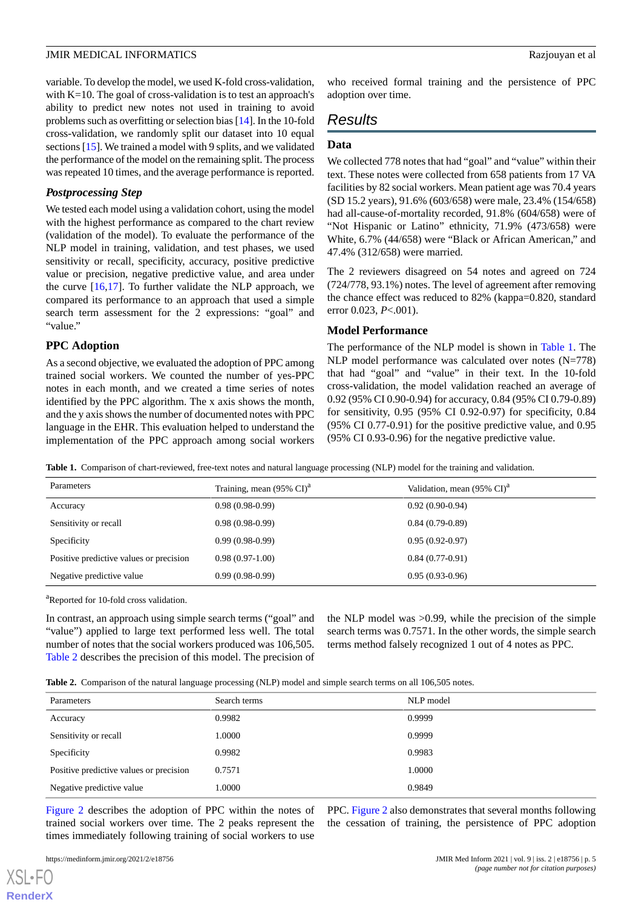#### **JMIR MEDICAL INFORMATICS** Razjouyan et al.

variable. To develop the model, we used K-fold cross-validation, with K=10. The goal of cross-validation is to test an approach's ability to predict new notes not used in training to avoid problems such as overfitting or selection bias [\[14](#page-6-15)]. In the 10-fold cross-validation, we randomly split our dataset into 10 equal sections [[15](#page-6-16)]. We trained a model with 9 splits, and we validated the performance of the model on the remaining split. The process was repeated 10 times, and the average performance is reported.

### *Postprocessing Step*

We tested each model using a validation cohort, using the model with the highest performance as compared to the chart review (validation of the model). To evaluate the performance of the NLP model in training, validation, and test phases, we used sensitivity or recall, specificity, accuracy, positive predictive value or precision, negative predictive value, and area under the curve  $[16,17]$  $[16,17]$  $[16,17]$ . To further validate the NLP approach, we compared its performance to an approach that used a simple search term assessment for the 2 expressions: "goal" and "value."

### **PPC Adoption**

As a second objective, we evaluated the adoption of PPC among trained social workers. We counted the number of yes-PPC notes in each month, and we created a time series of notes identified by the PPC algorithm. The x axis shows the month, and the y axis shows the number of documented notes with PPC language in the EHR. This evaluation helped to understand the implementation of the PPC approach among social workers

who received formal training and the persistence of PPC adoption over time.

# *Results*

### **Data**

We collected 778 notes that had "goal" and "value" within their text. These notes were collected from 658 patients from 17 VA facilities by 82 social workers. Mean patient age was 70.4 years (SD 15.2 years), 91.6% (603/658) were male, 23.4% (154/658) had all-cause-of-mortality recorded, 91.8% (604/658) were of "Not Hispanic or Latino" ethnicity, 71.9% (473/658) were White, 6.7% (44/658) were "Black or African American," and 47.4% (312/658) were married.

The 2 reviewers disagreed on 54 notes and agreed on 724 (724/778, 93.1%) notes. The level of agreement after removing the chance effect was reduced to 82% (kappa=0.820, standard error 0.023, *P*<.001).

# **Model Performance**

The performance of the NLP model is shown in [Table 1.](#page-4-0) The NLP model performance was calculated over notes (N=778) that had "goal" and "value" in their text. In the 10-fold cross-validation, the model validation reached an average of 0.92 (95% CI 0.90-0.94) for accuracy, 0.84 (95% CI 0.79-0.89) for sensitivity, 0.95 (95% CI 0.92-0.97) for specificity, 0.84 (95% CI 0.77-0.91) for the positive predictive value, and 0.95 (95% CI 0.93-0.96) for the negative predictive value.

<span id="page-4-0"></span>**Table 1.** Comparison of chart-reviewed, free-text notes and natural language processing (NLP) model for the training and validation.

| Parameters                              | Training, mean $(95\% \text{ CI})^{\text{a}}$ | Validation, mean (95% CI) <sup>a</sup> |
|-----------------------------------------|-----------------------------------------------|----------------------------------------|
| Accuracy                                | $0.98(0.98-0.99)$                             | $0.92(0.90-0.94)$                      |
| Sensitivity or recall                   | $0.98(0.98-0.99)$                             | $0.84(0.79-0.89)$                      |
| Specificity                             | $0.99(0.98-0.99)$                             | $0.95(0.92-0.97)$                      |
| Positive predictive values or precision | $0.98(0.97-1.00)$                             | $0.84(0.77-0.91)$                      |
| Negative predictive value               | $0.99(0.98-0.99)$                             | $0.95(0.93-0.96)$                      |

<sup>a</sup>Reported for 10-fold cross validation.

<span id="page-4-1"></span>In contrast, an approach using simple search terms ("goal" and "value") applied to large text performed less well. The total number of notes that the social workers produced was 106,505. [Table 2](#page-4-1) describes the precision of this model. The precision of the NLP model was >0.99, while the precision of the simple search terms was 0.7571. In the other words, the simple search terms method falsely recognized 1 out of 4 notes as PPC.

|  |  |  | Table 2. Comparison of the natural language processing (NLP) model and simple search terms on all 106,505 notes. |
|--|--|--|------------------------------------------------------------------------------------------------------------------|
|  |  |  |                                                                                                                  |

| Parameters                              | Search terms | NLP model |
|-----------------------------------------|--------------|-----------|
| Accuracy                                | 0.9982       | 0.9999    |
| Sensitivity or recall                   | 1.0000       | 0.9999    |
| Specificity                             | 0.9982       | 0.9983    |
| Positive predictive values or precision | 0.7571       | 1.0000    |
| Negative predictive value               | 1.0000       | 0.9849    |

[Figure 2](#page-5-0) describes the adoption of PPC within the notes of trained social workers over time. The 2 peaks represent the times immediately following training of social workers to use

PPC. [Figure 2](#page-5-0) also demonstrates that several months following the cessation of training, the persistence of PPC adoption

https://medinform.jmir.org/2021/2/e18756 JMIR Med Inform 2021 | vol. 9 | iss. 2 | e18756 | p. 5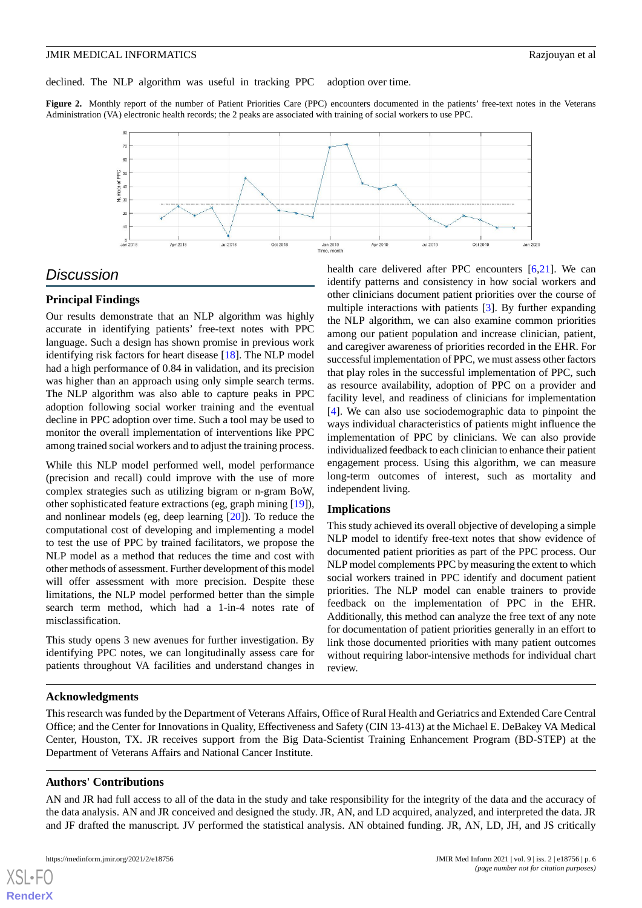declined. The NLP algorithm was useful in tracking PPC adoption over time.

<span id="page-5-0"></span>Figure 2. Monthly report of the number of Patient Priorities Care (PPC) encounters documented in the patients' free-text notes in the Veterans Administration (VA) electronic health records; the 2 peaks are associated with training of social workers to use PPC.



# *Discussion*

# **Principal Findings**

Our results demonstrate that an NLP algorithm was highly accurate in identifying patients' free-text notes with PPC language. Such a design has shown promise in previous work identifying risk factors for heart disease [\[18](#page-7-2)]. The NLP model had a high performance of 0.84 in validation, and its precision was higher than an approach using only simple search terms. The NLP algorithm was also able to capture peaks in PPC adoption following social worker training and the eventual decline in PPC adoption over time. Such a tool may be used to monitor the overall implementation of interventions like PPC among trained social workers and to adjust the training process.

While this NLP model performed well, model performance (precision and recall) could improve with the use of more complex strategies such as utilizing bigram or n-gram BoW, other sophisticated feature extractions (eg, graph mining [\[19](#page-7-3)]), and nonlinear models (eg, deep learning [\[20](#page-7-4)]). To reduce the computational cost of developing and implementing a model to test the use of PPC by trained facilitators, we propose the NLP model as a method that reduces the time and cost with other methods of assessment. Further development of this model will offer assessment with more precision. Despite these limitations, the NLP model performed better than the simple search term method, which had a 1-in-4 notes rate of misclassification.

This study opens 3 new avenues for further investigation. By identifying PPC notes, we can longitudinally assess care for patients throughout VA facilities and understand changes in health care delivered after PPC encounters [[6](#page-6-5)[,21](#page-7-5)]. We can identify patterns and consistency in how social workers and other clinicians document patient priorities over the course of multiple interactions with patients [\[3\]](#page-6-1). By further expanding the NLP algorithm, we can also examine common priorities among our patient population and increase clinician, patient, and caregiver awareness of priorities recorded in the EHR. For successful implementation of PPC, we must assess other factors that play roles in the successful implementation of PPC, such as resource availability, adoption of PPC on a provider and facility level, and readiness of clinicians for implementation [[4\]](#page-6-3). We can also use sociodemographic data to pinpoint the ways individual characteristics of patients might influence the implementation of PPC by clinicians. We can also provide individualized feedback to each clinician to enhance their patient engagement process. Using this algorithm, we can measure long-term outcomes of interest, such as mortality and independent living.

# **Implications**

This study achieved its overall objective of developing a simple NLP model to identify free-text notes that show evidence of documented patient priorities as part of the PPC process. Our NLP model complements PPC by measuring the extent to which social workers trained in PPC identify and document patient priorities. The NLP model can enable trainers to provide feedback on the implementation of PPC in the EHR. Additionally, this method can analyze the free text of any note for documentation of patient priorities generally in an effort to link those documented priorities with many patient outcomes without requiring labor-intensive methods for individual chart review.

# **Acknowledgments**

This research was funded by the Department of Veterans Affairs, Office of Rural Health and Geriatrics and Extended Care Central Office; and the Center for Innovations in Quality, Effectiveness and Safety (CIN 13-413) at the Michael E. DeBakey VA Medical Center, Houston, TX. JR receives support from the Big Data-Scientist Training Enhancement Program (BD-STEP) at the Department of Veterans Affairs and National Cancer Institute.

### **Authors' Contributions**

AN and JR had full access to all of the data in the study and take responsibility for the integrity of the data and the accuracy of the data analysis. AN and JR conceived and designed the study. JR, AN, and LD acquired, analyzed, and interpreted the data. JR and JF drafted the manuscript. JV performed the statistical analysis. AN obtained funding. JR, AN, LD, JH, and JS critically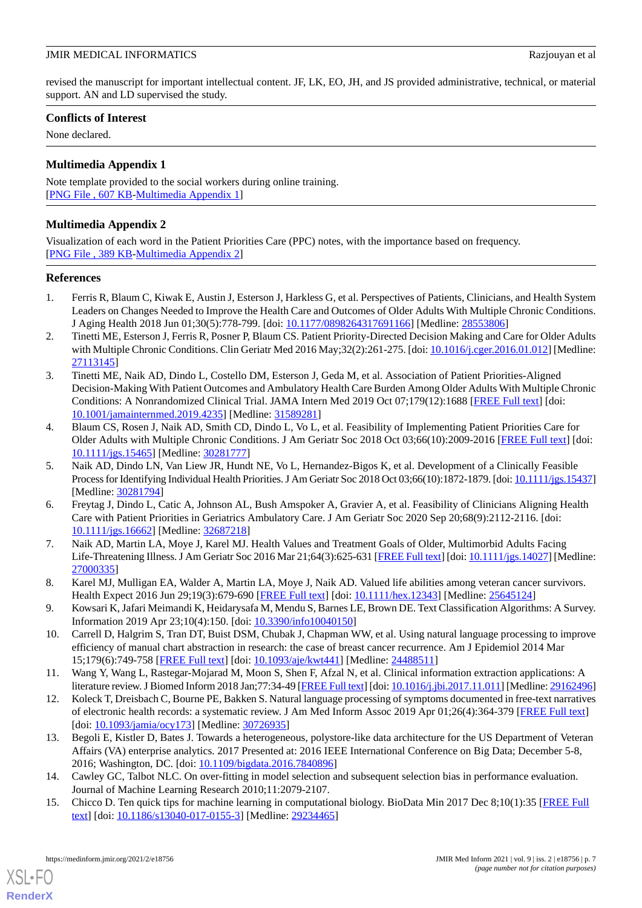revised the manuscript for important intellectual content. JF, LK, EO, JH, and JS provided administrative, technical, or material support. AN and LD supervised the study.

# **Conflicts of Interest**

<span id="page-6-12"></span>None declared.

# **Multimedia Appendix 1**

<span id="page-6-14"></span>Note template provided to the social workers during online training. [[PNG File , 607 KB-Multimedia Appendix 1](https://jmir.org/api/download?alt_name=medinform_v9i2e18756_app1.png&filename=5790548daa8fcede976724434c16967f.png)]

# **Multimedia Appendix 2**

Visualization of each word in the Patient Priorities Care (PPC) notes, with the importance based on frequency. [[PNG File , 389 KB-Multimedia Appendix 2](https://jmir.org/api/download?alt_name=medinform_v9i2e18756_app2.png&filename=f7e803f973b413a456486964fb360177.png)]

# <span id="page-6-0"></span>**References**

- <span id="page-6-2"></span>1. Ferris R, Blaum C, Kiwak E, Austin J, Esterson J, Harkless G, et al. Perspectives of Patients, Clinicians, and Health System Leaders on Changes Needed to Improve the Health Care and Outcomes of Older Adults With Multiple Chronic Conditions. J Aging Health 2018 Jun 01;30(5):778-799. [doi: [10.1177/0898264317691166\]](http://dx.doi.org/10.1177/0898264317691166) [Medline: [28553806](http://www.ncbi.nlm.nih.gov/entrez/query.fcgi?cmd=Retrieve&db=PubMed&list_uids=28553806&dopt=Abstract)]
- <span id="page-6-1"></span>2. Tinetti ME, Esterson J, Ferris R, Posner P, Blaum CS. Patient Priority-Directed Decision Making and Care for Older Adults with Multiple Chronic Conditions. Clin Geriatr Med 2016 May;32(2):261-275. [doi: [10.1016/j.cger.2016.01.012](http://dx.doi.org/10.1016/j.cger.2016.01.012)] [Medline: [27113145](http://www.ncbi.nlm.nih.gov/entrez/query.fcgi?cmd=Retrieve&db=PubMed&list_uids=27113145&dopt=Abstract)]
- <span id="page-6-3"></span>3. Tinetti ME, Naik AD, Dindo L, Costello DM, Esterson J, Geda M, et al. Association of Patient Priorities-Aligned Decision-Making With Patient Outcomes and Ambulatory Health Care Burden Among Older Adults With Multiple Chronic Conditions: A Nonrandomized Clinical Trial. JAMA Intern Med 2019 Oct 07;179(12):1688 [\[FREE Full text\]](http://europepmc.org/abstract/MED/31589281) [doi: [10.1001/jamainternmed.2019.4235\]](http://dx.doi.org/10.1001/jamainternmed.2019.4235) [Medline: [31589281\]](http://www.ncbi.nlm.nih.gov/entrez/query.fcgi?cmd=Retrieve&db=PubMed&list_uids=31589281&dopt=Abstract)
- <span id="page-6-4"></span>4. Blaum CS, Rosen J, Naik AD, Smith CD, Dindo L, Vo L, et al. Feasibility of Implementing Patient Priorities Care for Older Adults with Multiple Chronic Conditions. J Am Geriatr Soc 2018 Oct 03;66(10):2009-2016 [[FREE Full text](http://europepmc.org/abstract/MED/30281777)] [doi: [10.1111/jgs.15465\]](http://dx.doi.org/10.1111/jgs.15465) [Medline: [30281777\]](http://www.ncbi.nlm.nih.gov/entrez/query.fcgi?cmd=Retrieve&db=PubMed&list_uids=30281777&dopt=Abstract)
- <span id="page-6-5"></span>5. Naik AD, Dindo LN, Van Liew JR, Hundt NE, Vo L, Hernandez-Bigos K, et al. Development of a Clinically Feasible Process for Identifying Individual Health Priorities. J Am Geriatr Soc 2018 Oct 03;66(10):1872-1879. [doi: [10.1111/jgs.15437\]](http://dx.doi.org/10.1111/jgs.15437) [Medline: [30281794](http://www.ncbi.nlm.nih.gov/entrez/query.fcgi?cmd=Retrieve&db=PubMed&list_uids=30281794&dopt=Abstract)]
- <span id="page-6-6"></span>6. Freytag J, Dindo L, Catic A, Johnson AL, Bush Amspoker A, Gravier A, et al. Feasibility of Clinicians Aligning Health Care with Patient Priorities in Geriatrics Ambulatory Care. J Am Geriatr Soc 2020 Sep 20;68(9):2112-2116. [doi: [10.1111/jgs.16662\]](http://dx.doi.org/10.1111/jgs.16662) [Medline: [32687218\]](http://www.ncbi.nlm.nih.gov/entrez/query.fcgi?cmd=Retrieve&db=PubMed&list_uids=32687218&dopt=Abstract)
- <span id="page-6-8"></span><span id="page-6-7"></span>7. Naik AD, Martin LA, Moye J, Karel MJ. Health Values and Treatment Goals of Older, Multimorbid Adults Facing Life-Threatening Illness. J Am Geriatr Soc 2016 Mar 21;64(3):625-631 [\[FREE Full text](http://europepmc.org/abstract/MED/27000335)] [doi: [10.1111/jgs.14027\]](http://dx.doi.org/10.1111/jgs.14027) [Medline: [27000335](http://www.ncbi.nlm.nih.gov/entrez/query.fcgi?cmd=Retrieve&db=PubMed&list_uids=27000335&dopt=Abstract)]
- <span id="page-6-9"></span>8. Karel MJ, Mulligan EA, Walder A, Martin LA, Moye J, Naik AD. Valued life abilities among veteran cancer survivors. Health Expect 2016 Jun 29;19(3):679-690 [\[FREE Full text\]](http://europepmc.org/abstract/MED/25645124) [doi: [10.1111/hex.12343\]](http://dx.doi.org/10.1111/hex.12343) [Medline: [25645124\]](http://www.ncbi.nlm.nih.gov/entrez/query.fcgi?cmd=Retrieve&db=PubMed&list_uids=25645124&dopt=Abstract)
- <span id="page-6-10"></span>9. Kowsari K, Jafari Meimandi K, Heidarysafa M, Mendu S, Barnes LE, Brown DE. Text Classification Algorithms: A Survey. Information 2019 Apr 23;10(4):150. [doi: [10.3390/info10040150](http://dx.doi.org/10.3390/info10040150)]
- <span id="page-6-11"></span>10. Carrell D, Halgrim S, Tran DT, Buist DSM, Chubak J, Chapman WW, et al. Using natural language processing to improve efficiency of manual chart abstraction in research: the case of breast cancer recurrence. Am J Epidemiol 2014 Mar 15;179(6):749-758 [[FREE Full text](http://europepmc.org/abstract/MED/24488511)] [doi: [10.1093/aje/kwt441](http://dx.doi.org/10.1093/aje/kwt441)] [Medline: [24488511](http://www.ncbi.nlm.nih.gov/entrez/query.fcgi?cmd=Retrieve&db=PubMed&list_uids=24488511&dopt=Abstract)]
- <span id="page-6-13"></span>11. Wang Y, Wang L, Rastegar-Mojarad M, Moon S, Shen F, Afzal N, et al. Clinical information extraction applications: A literature review. J Biomed Inform 2018 Jan; 77:34-49 [\[FREE Full text\]](https://linkinghub.elsevier.com/retrieve/pii/S1532-0464(17)30256-3) [doi: [10.1016/j.jbi.2017.11.011](http://dx.doi.org/10.1016/j.jbi.2017.11.011)] [Medline: [29162496\]](http://www.ncbi.nlm.nih.gov/entrez/query.fcgi?cmd=Retrieve&db=PubMed&list_uids=29162496&dopt=Abstract)
- <span id="page-6-15"></span>12. Koleck T, Dreisbach C, Bourne PE, Bakken S. Natural language processing of symptoms documented in free-text narratives of electronic health records: a systematic review. J Am Med Inform Assoc 2019 Apr 01;26(4):364-379 [\[FREE Full text\]](http://europepmc.org/abstract/MED/30726935) [doi: [10.1093/jamia/ocy173\]](http://dx.doi.org/10.1093/jamia/ocy173) [Medline: [30726935](http://www.ncbi.nlm.nih.gov/entrez/query.fcgi?cmd=Retrieve&db=PubMed&list_uids=30726935&dopt=Abstract)]
- <span id="page-6-16"></span>13. Begoli E, Kistler D, Bates J. Towards a heterogeneous, polystore-like data architecture for the US Department of Veteran Affairs (VA) enterprise analytics. 2017 Presented at: 2016 IEEE International Conference on Big Data; December 5-8, 2016; Washington, DC. [doi: [10.1109/bigdata.2016.7840896](http://dx.doi.org/10.1109/bigdata.2016.7840896)]
- 14. Cawley GC, Talbot NLC. On over-fitting in model selection and subsequent selection bias in performance evaluation. Journal of Machine Learning Research 2010;11:2079-2107.
- 15. Chicco D. Ten quick tips for machine learning in computational biology. BioData Min 2017 Dec 8;10(1):35 [[FREE Full](https://biodatamining.biomedcentral.com/articles/10.1186/s13040-017-0155-3) [text](https://biodatamining.biomedcentral.com/articles/10.1186/s13040-017-0155-3)] [doi: [10.1186/s13040-017-0155-3\]](http://dx.doi.org/10.1186/s13040-017-0155-3) [Medline: [29234465](http://www.ncbi.nlm.nih.gov/entrez/query.fcgi?cmd=Retrieve&db=PubMed&list_uids=29234465&dopt=Abstract)]